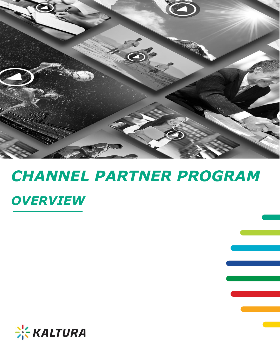

# *CHANNEL PARTNER PROGRAM OVERVIEW*

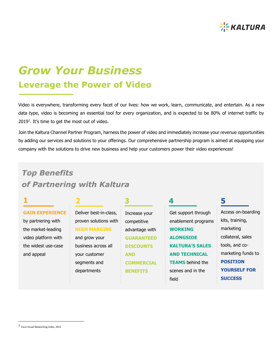

## *Grow Your Business* **Leverage the Power of Video**

Video is everywhere, transforming every facet of our lives: how we work, learn, communicate, and entertain. As a new data type, video is becoming an essential tool for every organization, and is expected to be 80% of internet traffic by 2019<sup>1</sup>. It's time to get the most out of video.

Join the Kaltura Channel Partner Program, harness the power of video and immediately increase your revenue opportunities by adding our services and solutions to your offerings. Our comprehensive partnership program is aimed at equipping your company with the solutions to drive new business and help your customers power their video experiences!

## *Top Benefits of Partnering with Kaltura*

**1 2 3 4 5**

#### **GAIN EXPERIENCE**

by partnering with the market-leading video platform with the widest use-case and appeal

Deliver best-in-class, proven solutions with **HIGH MARGINS** and grow your business across all your customer segments and departments

Increase your competitive advantage with **GUARANTEED DISCOUNTS AND COMMERCIAL BENEFITS**

Get support through enablement programs **WORKING ALONGSIDE KALTURA'S SALES AND TECHNICAL TEAMS** behind the scenes and in the field

Access on-boarding kits, training, marketing collateral, sales tools, and comarketing funds to **POSITION YOURSELF FOR SUCCESS**

 $\overline{a}$ 

<sup>1</sup> Cisco Visual Networking Index, 2015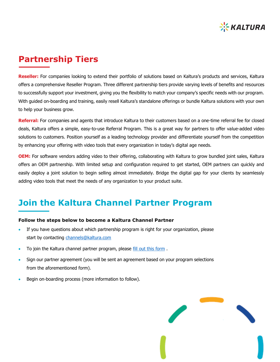

### **Partnership Tiers**

**Reseller:** For companies looking to extend their portfolio of solutions based on Kaltura's products and services, Kaltura offers a comprehensive Reseller Program. Three different partnership tiers provide varying levels of benefits and resources to successfully support your investment, giving you the flexibility to match your company's specific needs with our program. With guided on-boarding and training, easily resell Kaltura's standalone offerings or bundle Kaltura solutions with your own to help your business grow.

**Referral:** For companies and agents that introduce Kaltura to their customers based on a one-time referral fee for closed deals, Kaltura offers a simple, easy-to-use Referral Program. This is a great way for partners to offer value-added video solutions to customers. Position yourself as a leading technology provider and differentiate yourself from the competition by enhancing your offering with video tools that every organization in today's digital age needs.

**OEM:** For software vendors adding video to their offering, collaborating with Kaltura to grow bundled joint sales, Kaltura offers an OEM partnership. With limited setup and configuration required to get started, OEM partners can quickly and easily deploy a joint solution to begin selling almost immediately. Bridge the digital gap for your clients by seamlessly adding video tools that meet the needs of any organization to your product suite.

## **Join the Kaltura Channel Partner Program**

#### **Follow the steps below to become a Kaltura Channel Partner**

- If you have questions about which partnership program is right for your organization, please start by contacting [channels@kaltura.com](mailto:channels@kaltura.com)
- . To join the Kaltura channel partner program, please [fill out this form](http://corp.kaltura.com/company/contact-us).
- Sign our partner agreement (you will be sent an agreement based on your program selections from the aforementioned form).
- Begin on-boarding process (more information to follow).